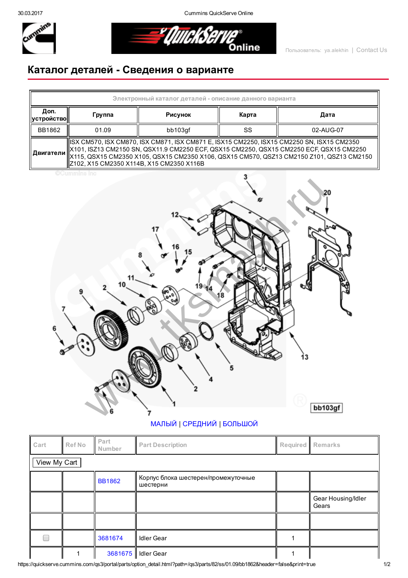30.03.2017 Cummins QuickServe Online



<u>= "QuickSert</u> .<br>Online

## Каталог деталей Сведения о варианте

| Электронный каталог деталей - описание данного варианта |                                                                                                                                                                                                                                                                                                                                                       |         |       |           |  |  |  |  |  |
|---------------------------------------------------------|-------------------------------------------------------------------------------------------------------------------------------------------------------------------------------------------------------------------------------------------------------------------------------------------------------------------------------------------------------|---------|-------|-----------|--|--|--|--|--|
| Доп.<br><b>  устройство   </b>                          | Группа                                                                                                                                                                                                                                                                                                                                                | Рисунок | Карта | Дата      |  |  |  |  |  |
| BB1862                                                  | 01.09                                                                                                                                                                                                                                                                                                                                                 | bb103qf | SS    | 02-AUG-07 |  |  |  |  |  |
|                                                         | ISX CM570, ISX CM870, ISX CM871, ISX CM871 E, ISX15 CM2250, ISX15 CM2250 SN, ISX15 CM2350<br>  X101, ISZ13 CM2150 SN, QSX11.9 CM2250 ECF, QSX15 CM2250, QSX15 CM2250 ECF, QSX15 CM2250<br>   <b>Двигатели</b>    X115, QSX15 CM2350 X105, QSX15 CM2350 X106, QSX15 CM570, QSZ13 CM2150 Z101, QSZ13 CM2150<br>Z102, X15 CM2350 X114B, X15 CM2350 X116B |         |       |           |  |  |  |  |  |

**CCummins Inc** 



## [МАЛЫЙ](javascript:swap_img() | [СРЕДНИЙ](javascript:swap_img() | [БОЛЬШОЙ](javascript:swap_img()

| Cart         | Ref No | Part<br>Number | <b>Part Description</b>                         |  | Required Remarks            |  |  |  |  |
|--------------|--------|----------------|-------------------------------------------------|--|-----------------------------|--|--|--|--|
| View My Cart |        |                |                                                 |  |                             |  |  |  |  |
|              |        | <b>BB1862</b>  | Корпус блока шестерен/промежуточные<br>шестерни |  |                             |  |  |  |  |
|              |        |                |                                                 |  | Gear Housing/Idler<br>Gears |  |  |  |  |
|              |        |                |                                                 |  |                             |  |  |  |  |
|              |        | 3681674        | <b>Idler Gear</b>                               |  |                             |  |  |  |  |
|              |        |                | 3681675   Idler Gear                            |  |                             |  |  |  |  |